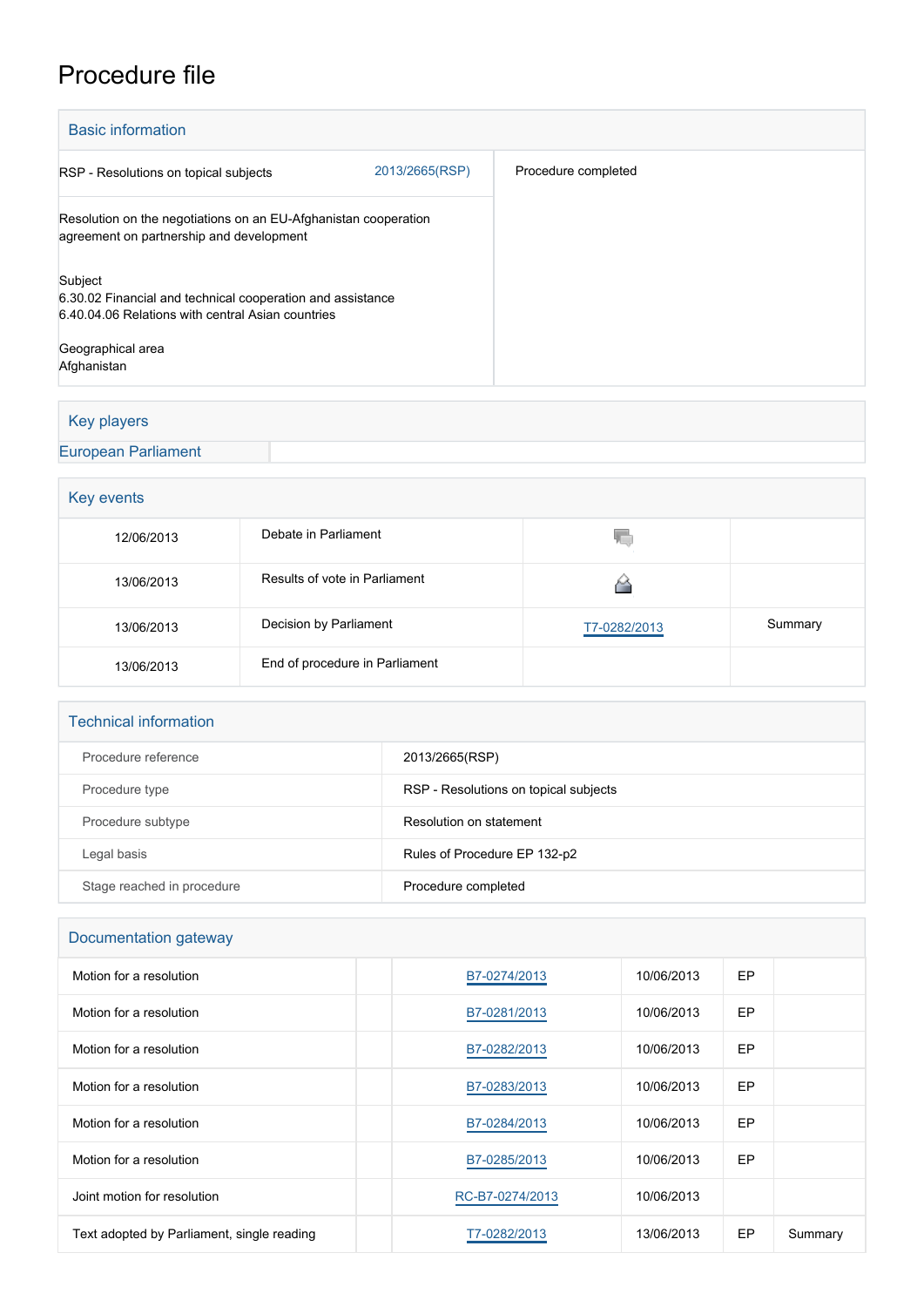# Procedure file

| <b>Basic information</b>                                                                                                                                       |                |                     |  |  |  |
|----------------------------------------------------------------------------------------------------------------------------------------------------------------|----------------|---------------------|--|--|--|
| RSP - Resolutions on topical subjects                                                                                                                          | 2013/2665(RSP) | Procedure completed |  |  |  |
| Resolution on the negotiations on an EU-Afghanistan cooperation<br>agreement on partnership and development                                                    |                |                     |  |  |  |
| Subject<br>6.30.02 Financial and technical cooperation and assistance<br>6.40.04.06 Relations with central Asian countries<br>Geographical area<br>Afghanistan |                |                     |  |  |  |

# Key players

#### [European Parliament](http://www.europarl.europa.eu/)

# Key events

| 12/06/2013 | Debate in Parliament           | 50.          |         |
|------------|--------------------------------|--------------|---------|
| 13/06/2013 | Results of vote in Parliament  |              |         |
| 13/06/2013 | Decision by Parliament         | T7-0282/2013 | Summary |
| 13/06/2013 | End of procedure in Parliament |              |         |

| <b>Technical information</b> |  |
|------------------------------|--|
|                              |  |

| Procedure reference        | 2013/2665(RSP)                        |
|----------------------------|---------------------------------------|
| Procedure type             | RSP - Resolutions on topical subjects |
| Procedure subtype          | Resolution on statement               |
| Legal basis                | Rules of Procedure EP 132-p2          |
| Stage reached in procedure | Procedure completed                   |

#### Documentation gateway

| Motion for a resolution                    | B7-0274/2013    | 10/06/2013 | EP        |         |
|--------------------------------------------|-----------------|------------|-----------|---------|
| Motion for a resolution                    | B7-0281/2013    | 10/06/2013 | <b>EP</b> |         |
| Motion for a resolution                    | B7-0282/2013    | 10/06/2013 | <b>EP</b> |         |
| Motion for a resolution                    | B7-0283/2013    | 10/06/2013 | EP        |         |
| Motion for a resolution                    | B7-0284/2013    | 10/06/2013 | <b>EP</b> |         |
| Motion for a resolution                    | B7-0285/2013    | 10/06/2013 | <b>EP</b> |         |
| Joint motion for resolution                | RC-B7-0274/2013 | 10/06/2013 |           |         |
| Text adopted by Parliament, single reading | T7-0282/2013    | 13/06/2013 | <b>EP</b> | Summary |